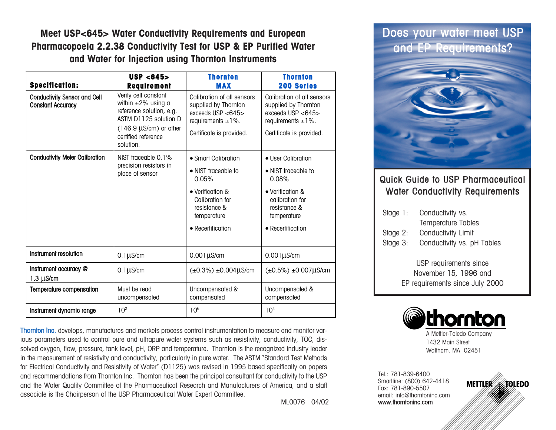**Meet USP<645> Water Conductivity Requirements and European Pharmacopoeia 2.2.38 Conductivity Test for USP & EP Purified Water and Water for Injection using Thornton Instruments**

| <b>Specification:</b>                                           | USP < 645<br><b>Requirement</b>                                                                                                                                            | <b>Thornton</b><br><b>MAX</b>                                                                                                                  | <b>Thornton</b><br><b>200 Series</b>                                                                                                          |
|-----------------------------------------------------------------|----------------------------------------------------------------------------------------------------------------------------------------------------------------------------|------------------------------------------------------------------------------------------------------------------------------------------------|-----------------------------------------------------------------------------------------------------------------------------------------------|
| <b>Conductivity Sensor and Cell</b><br><b>Constant Accuracy</b> | Verify cell constant<br>within $\pm 2\%$ using a<br>reference solution, e.g.<br>ASTM D1125 solution D<br>$(146.9 \,\mu s/cm)$ or other<br>certified reference<br>solution. | Calibration of all sensors<br>supplied by Thornton<br>exceeds USP <645><br>requirements $\pm 1\%$ .<br>Certificate is provided.                | Calibration of all sensors<br>supplied by Thornton<br>exceeds USP <645><br>requirements $\pm 1\%$ .<br>Certificate is provided.               |
| <b>Conductivity Meter Calibration</b>                           | NIST traceable 0.1%<br>precision resistors in<br>place of sensor                                                                                                           | • Smart Calibration<br>• NIST traceable to<br>0.05%<br>• Verification &<br>Calibration for<br>resistance &<br>temperature<br>• Recertification | • User Calibration<br>• NIST traceable to<br>0.08%<br>• Verification &<br>calibration for<br>resistance &<br>temperature<br>• Recertification |
| Instrument resolution                                           | $0.1\mu$ S/cm                                                                                                                                                              | $0.001\mu$ S/cm                                                                                                                                | $0.001\mu$ S/cm                                                                                                                               |
| Instrument accuracy @<br>$1.3 \mu s/cm$                         | $0.1\mu$ S/cm                                                                                                                                                              | $(\pm 0.3\%) \pm 0.004 \mu\text{S/cm}$                                                                                                         | $(\pm 0.5\%) \pm 0.007 \mu\text{S/cm}$                                                                                                        |
| Temperature compensation                                        | Must be read<br>uncompensated                                                                                                                                              | Uncompensated &<br>compensated                                                                                                                 | Uncompensated &<br>compensated                                                                                                                |
| Instrument dynamic range                                        | 10 <sup>2</sup>                                                                                                                                                            | 10 <sup>6</sup>                                                                                                                                | 10 <sup>4</sup>                                                                                                                               |

Thornton Inc. develops, manufactures and markets process control instrumentation to measure and monitor various parameters used to control pure and ultrapure water systems such as resistivity, conductivity, TOC, dissolved oxygen, flow, pressure, tank level, pH, ORP and temperature. Thornton is the recognized industry leader in the measurement of resistivity and conductivity, particularly in pure water. The ASTM "Standard Test Methods for Electrical Conductivity and Resistivity of Water" (D1125) was revised in 1995 based specifically on papers and recommendations from Thornton Inc. Thornton has been the principal consultant for conductivity to the USP and the Water Quality Committee of the Pharmaceutical Research and Manufacturers of America, and a staff associate is the Chairperson of the USP Pharmaceutical Water Expert Committee.

ML0076 04/02

# Does your water meet USP and EP Requirements?



# Quick Guide to USP Pharmaceutical Water Conductivity Requirements

| Stage $1$ : | Conductivity vs.           |
|-------------|----------------------------|
|             | <b>Temperature Tables</b>  |
| Stage $2$ : | Conductivity Limit         |
| Stage 3:    | Conductivity vs. pH Tables |

USP requirements since November 15, 1996 and EP requirements since July 2000



A Mettler-Toledo Company 1432 Main Street Waltham, MA 02451

Tel.: 781-839-6400 Smartline: (800) 642-4418 Fax: 781-890-5507 email: info@thorntoninc.com www.thorntoninc.com